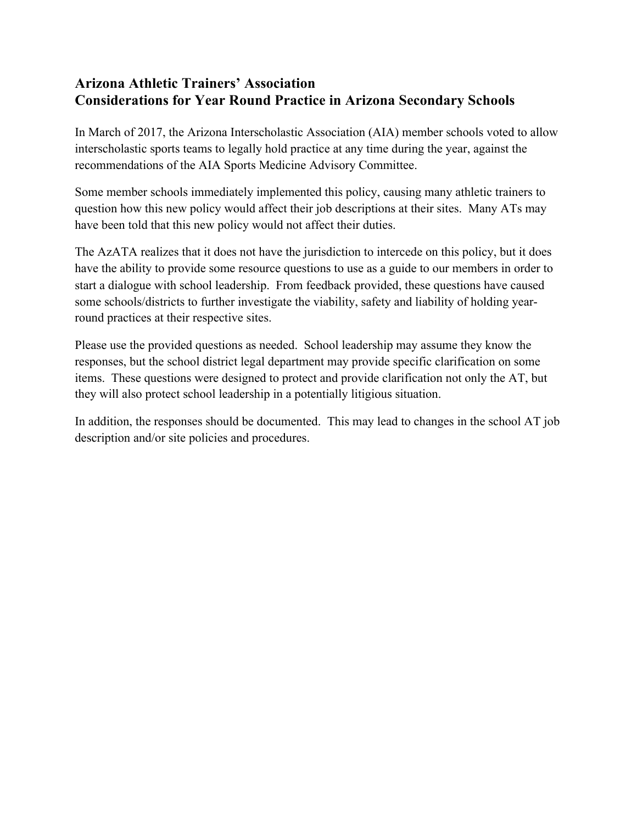## **Arizona Athletic Trainers' Association Considerations for Year Round Practice in Arizona Secondary Schools**

In March of 2017, the Arizona Interscholastic Association (AIA) member schools voted to allow interscholastic sports teams to legally hold practice at any time during the year, against the recommendations of the AIA Sports Medicine Advisory Committee.

Some member schools immediately implemented this policy, causing many athletic trainers to question how this new policy would affect their job descriptions at their sites. Many ATs may have been told that this new policy would not affect their duties.

The AzATA realizes that it does not have the jurisdiction to intercede on this policy, but it does have the ability to provide some resource questions to use as a guide to our members in order to start a dialogue with school leadership. From feedback provided, these questions have caused some schools/districts to further investigate the viability, safety and liability of holding yearround practices at their respective sites.

Please use the provided questions as needed. School leadership may assume they know the responses, but the school district legal department may provide specific clarification on some items. These questions were designed to protect and provide clarification not only the AT, but they will also protect school leadership in a potentially litigious situation.

In addition, the responses should be documented. This may lead to changes in the school AT job description and/or site policies and procedures.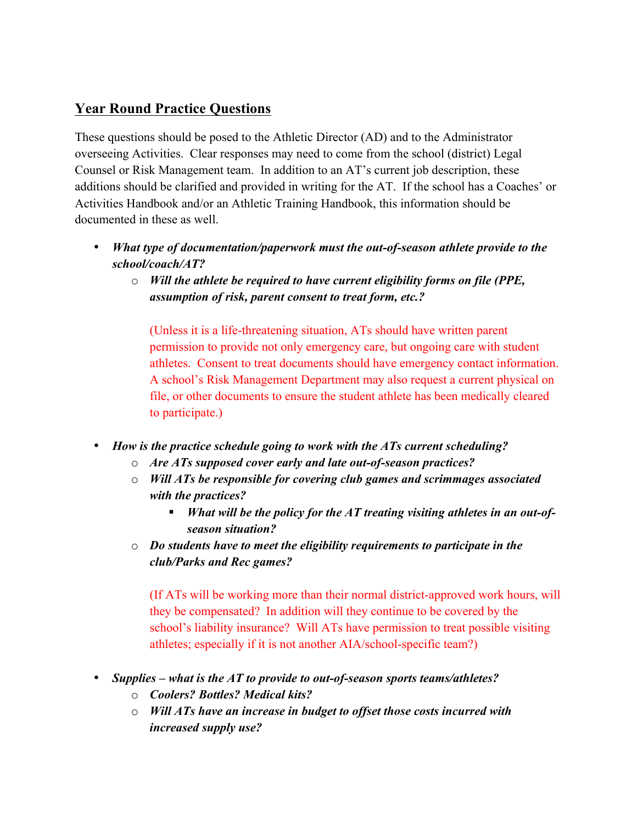## **Year Round Practice Questions**

These questions should be posed to the Athletic Director (AD) and to the Administrator overseeing Activities. Clear responses may need to come from the school (district) Legal Counsel or Risk Management team. In addition to an AT's current job description, these additions should be clarified and provided in writing for the AT. If the school has a Coaches' or Activities Handbook and/or an Athletic Training Handbook, this information should be documented in these as well.

- *What type of documentation/paperwork must the out-of-season athlete provide to the school/coach/AT?*
	- o *Will the athlete be required to have current eligibility forms on file (PPE, assumption of risk, parent consent to treat form, etc.?*

(Unless it is a life-threatening situation, ATs should have written parent permission to provide not only emergency care, but ongoing care with student athletes. Consent to treat documents should have emergency contact information. A school's Risk Management Department may also request a current physical on file, or other documents to ensure the student athlete has been medically cleared to participate.)

- *How is the practice schedule going to work with the ATs current scheduling?*
	- o *Are ATs supposed cover early and late out-of-season practices?*
	- o *Will ATs be responsible for covering club games and scrimmages associated with the practices?*
		- *What will be the policy for the AT treating visiting athletes in an out-ofseason situation?*
	- o *Do students have to meet the eligibility requirements to participate in the club/Parks and Rec games?*

(If ATs will be working more than their normal district-approved work hours, will they be compensated? In addition will they continue to be covered by the school's liability insurance? Will ATs have permission to treat possible visiting athletes; especially if it is not another AIA/school-specific team?)

- *Supplies – what is the AT to provide to out-of-season sports teams/athletes?*
	- o *Coolers? Bottles? Medical kits?*
	- o *Will ATs have an increase in budget to offset those costs incurred with increased supply use?*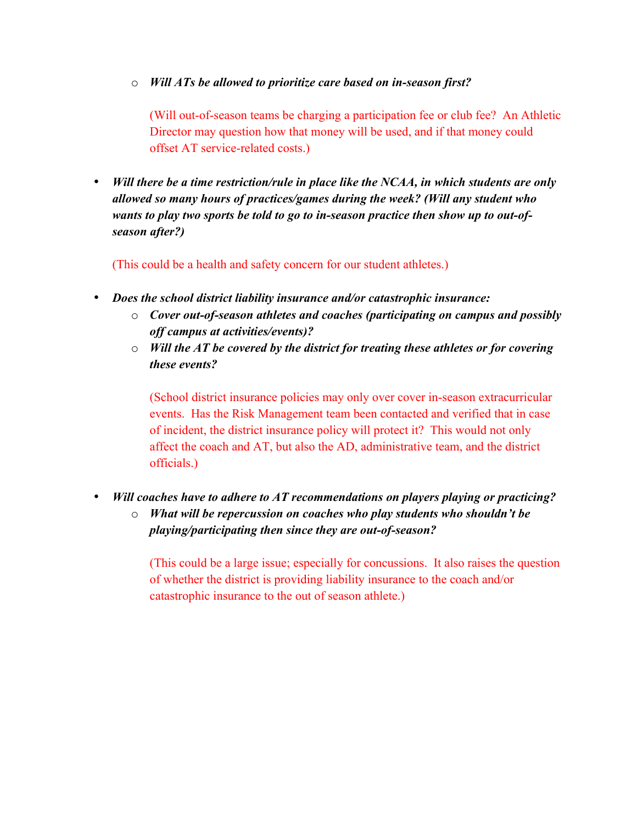## o *Will ATs be allowed to prioritize care based on in-season first?*

(Will out-of-season teams be charging a participation fee or club fee? An Athletic Director may question how that money will be used, and if that money could offset AT service-related costs.)

• *Will there be a time restriction/rule in place like the NCAA, in which students are only allowed so many hours of practices/games during the week? (Will any student who wants to play two sports be told to go to in-season practice then show up to out-ofseason after?)*

(This could be a health and safety concern for our student athletes.)

- *Does the school district liability insurance and/or catastrophic insurance:*
	- o *Cover out-of-season athletes and coaches (participating on campus and possibly off campus at activities/events)?*
	- o *Will the AT be covered by the district for treating these athletes or for covering these events?*

(School district insurance policies may only over cover in-season extracurricular events. Has the Risk Management team been contacted and verified that in case of incident, the district insurance policy will protect it? This would not only affect the coach and AT, but also the AD, administrative team, and the district officials.)

• *Will coaches have to adhere to AT recommendations on players playing or practicing?*  o *What will be repercussion on coaches who play students who shouldn't be* 

*playing/participating then since they are out-of-season?*

(This could be a large issue; especially for concussions. It also raises the question of whether the district is providing liability insurance to the coach and/or catastrophic insurance to the out of season athlete.)